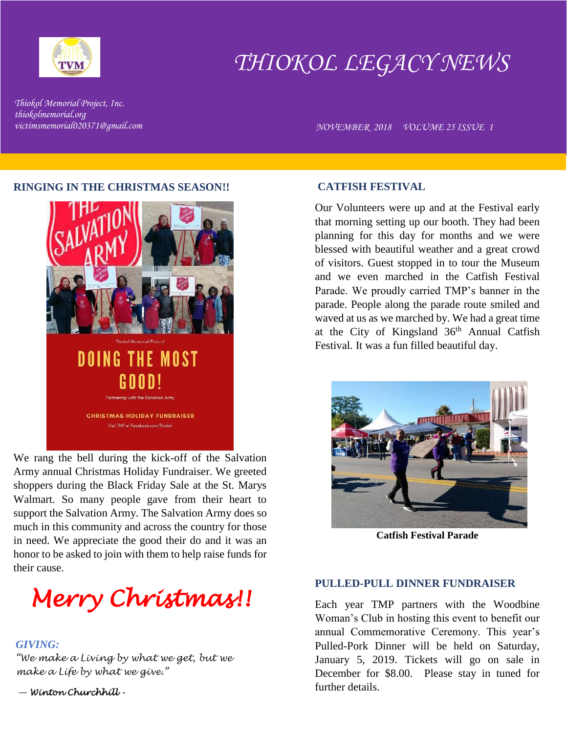

# *THIOKOL LEGACY NEWS*

*Thiokol Memorial Project, Inc. thiokolmemorial.org*

*victimsmemorial020371@gmail.com NOVEMBER 2018 VOLUME 25 ISSUE 1* 

### **RINGING IN THE CHRISTMAS SEASON!!**



We rang the bell during the kick-off of the Salvation Army annual Christmas Holiday Fundraiser. We greeted shoppers during the Black Friday Sale at the St. Marys Walmart. So many people gave from their heart to support the Salvation Army. The Salvation Army does so much in this community and across the country for those in need. We appreciate the good their do and it was an honor to be asked to join with them to help raise funds for their cause.



# *GIVING:*

*"We make a Living by what we get, but we make a Life by what we give."*

― *Winton Churchhill -* 

### **CATFISH FESTIVAL**

Our Volunteers were up and at the Festival early that morning setting up our booth. They had been planning for this day for months and we were blessed with beautiful weather and a great crowd of visitors. Guest stopped in to tour the Museum and we even marched in the Catfish Festival Parade. We proudly carried TMP's banner in the parade. People along the parade route smiled and waved at us as we marched by. We had a great time at the City of Kingsland  $36<sup>th</sup>$  Annual Catfish Festival. It was a fun filled beautiful day.



**Catfish Festival Parade**

#### **PULLED-PULL DINNER FUNDRAISER**

Each year TMP partners with the Woodbine Woman's Club in hosting this event to benefit our annual Commemorative Ceremony. This year's Pulled-Pork Dinner will be held on Saturday, January 5, 2019. Tickets will go on sale in December for \$8.00. Please stay in tuned for further details.